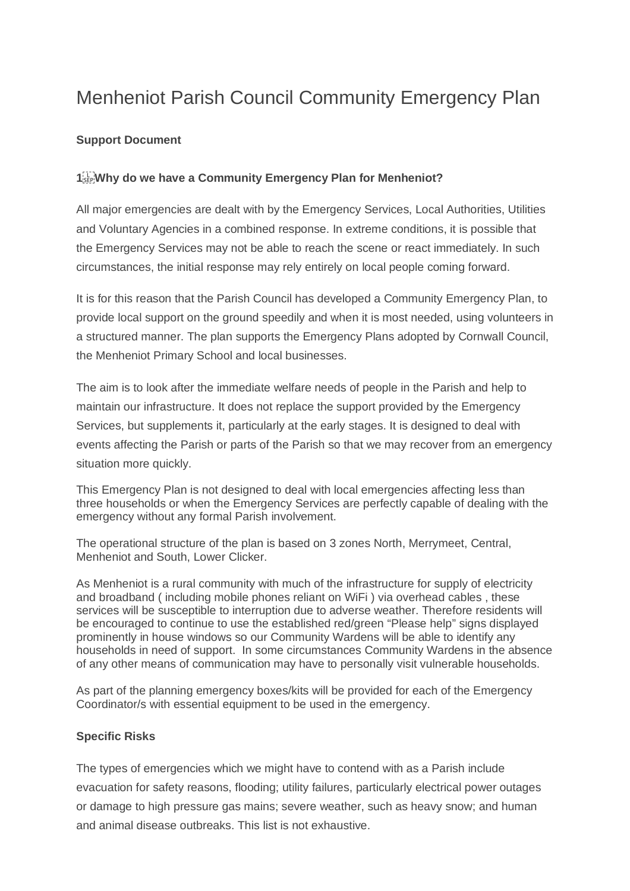## Menheniot Parish Council Community Emergency Plan

## **Support Document**

## **1 Why do we have a Community Emergency Plan for Menheniot?**

All major emergencies are dealt with by the Emergency Services, Local Authorities, Utilities and Voluntary Agencies in a combined response. In extreme conditions, it is possible that the Emergency Services may not be able to reach the scene or react immediately. In such circumstances, the initial response may rely entirely on local people coming forward.

It is for this reason that the Parish Council has developed a Community Emergency Plan, to provide local support on the ground speedily and when it is most needed, using volunteers in a structured manner. The plan supports the Emergency Plans adopted by Cornwall Council, the Menheniot Primary School and local businesses.

The aim is to look after the immediate welfare needs of people in the Parish and help to maintain our infrastructure. It does not replace the support provided by the Emergency Services, but supplements it, particularly at the early stages. It is designed to deal with events affecting the Parish or parts of the Parish so that we may recover from an emergency situation more quickly.

This Emergency Plan is not designed to deal with local emergencies affecting less than three households or when the Emergency Services are perfectly capable of dealing with the emergency without any formal Parish involvement.

The operational structure of the plan is based on 3 zones North, Merrymeet, Central, Menheniot and South, Lower Clicker.

As Menheniot is a rural community with much of the infrastructure for supply of electricity and broadband ( including mobile phones reliant on WiFi ) via overhead cables , these services will be susceptible to interruption due to adverse weather. Therefore residents will be encouraged to continue to use the established red/green "Please help" signs displayed prominently in house windows so our Community Wardens will be able to identify any households in need of support. In some circumstances Community Wardens in the absence of any other means of communication may have to personally visit vulnerable households.

As part of the planning emergency boxes/kits will be provided for each of the Emergency Coordinator/s with essential equipment to be used in the emergency.

## **Specific Risks**

The types of emergencies which we might have to contend with as a Parish include evacuation for safety reasons, flooding; utility failures, particularly electrical power outages or damage to high pressure gas mains; severe weather, such as heavy snow; and human and animal disease outbreaks. This list is not exhaustive.